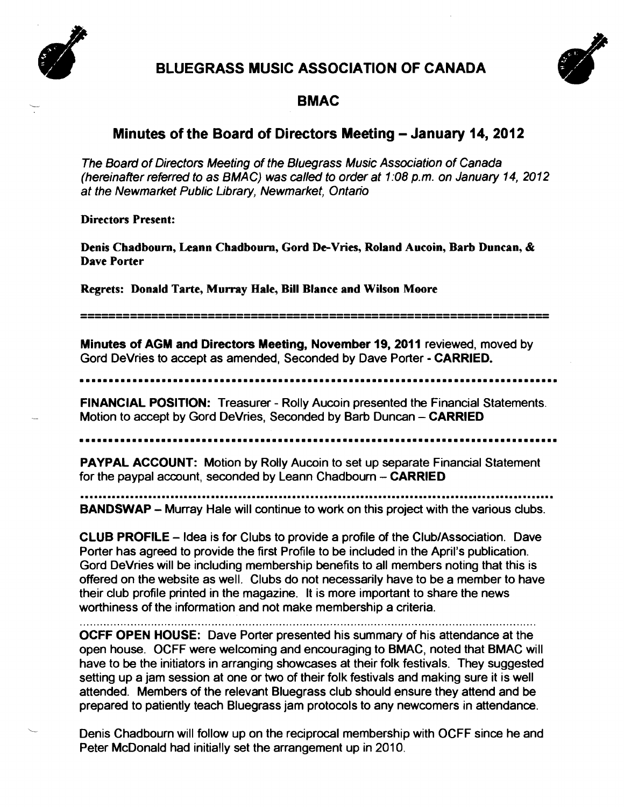

# BLUEGRASS MUSIC ASSOCIATION OF CANADA



## BMAC

## Minutes of the Board of Directors Meeting – January 14, 2012

The Board of Directors Meeting of the Bluegrass Music Association of Canada (hereinafter referred to as BMAC) was called to order at 1:08 p.m. on January 14, 2012 at the Newmarket Public Library, Newmarket, Ontario

Directors Present:

Denis Chadbourn, Leann Chadbourn, Gord De-Vries, Roland Aucoin, Barb Duncan, & Dave Porter

Regrets: Donald Tarte, Murray Hale, Bill Blance and Wilson Moore

------------------------------------------------------------------ ------------------------------------------------------------------

Minutes of AGM and Directors Meeting, November 19, 2011 reviewed, moved by Gord DeVries to accept as amended, Seconded by Dave Porter - CARRIED.

**••••••••••••••••••••••••••••••••••••••••••••••••••••••••••••••••••••••••••••••••••** 

FINANCIAL POSITION: Treasurer - Rolly Aucoin presented the Financial Statements. Motion to accept by Gord DeVries, Seconded by Barb Duncan - CARRIED

**••••••••••••••••••••••••••••••••••••••••••••••••••••••••••••••••••••••••••••••••••** 

PAYPAL ACCOUNT: Motion by Rolly Aucoin to set up separate Financial Statement for the paypal account, seconded by Leann Chadbourn  $-$  CARRIED

BANDSWAP - Murray Hale will continue to work on this project with the various clubs.

CLUB PROFILE - Idea is for Clubs to provide a profile of the Club/Association. Dave Porter has agreed to provide the first Profile to be included in the April's publication. Gord DeVries will be including membership benefits to all members noting that this is offered on the website as well. Clubs do not necessarily have to be a member to have their club profile printed in the magazine. It is more important to share the news worthiness of the information and not make membership a criteria.

OCFF OPEN HOUSE: Dave Porter presented his summary of his attendance at the open house. OCFF were welcoming and encouraging to BMAC, noted that BMAC will have to be the initiators in arranging showcases at their folk festivals. They suggested setting up a jam session at one or two of their folk festivals and making sure it is well attended. Members of the relevant Bluegrass club should ensure they attend and be prepared to patiently teach Bluegrass jam protocols to any newcomers in attendance.

Denis Chadbourn will follow up on the reciprocal membership with OCFF since he and Peter McDonald had initially set the arrangement up in 2010.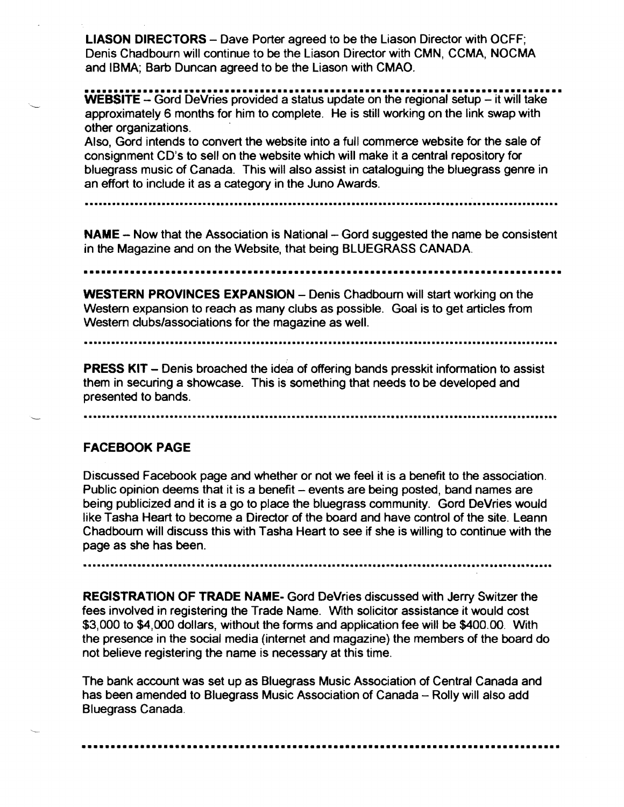LlASON DIRECTORS - Dave Porter agreed to be the Liason Director with OCFF; Denis Chadbourn will continue to be the Liason Director with CMN, CCMA. NOCMA and IBMA; Barb Duncan agreed to be the Liason with CMAO.

**•••••••••••••••••••••••••••••••••••••••••••••••••••••••••••••••••••••••••••••••••••**  WEBSITE - Gord DeVries provided a status update on the regional setup - it will take approximately 6 months for him to complete. He is still working on the link swap with other organizations. .

Also, Gord intends to convert the website into a full commerce website for the sale of consignment CD's to sell on the website which will make it a central repository for bluegrass music of Canada. This will also assist in cataloguing the bluegrass genre in an effort to include it as a category in the Juno Awards.

**......••••••.•••••.•.•.....••••....................•••••••••••••••••...........................••••••••••** 

NAME - Now that the Association is National - Gord suggested the name be consistent in the Magazine and on the Website, that being BLUEGRASS CANADA.

**••••••••••••••••••••••••••••••••••••••••••••••••••••••••••••••••••••••••••••••••••** 

WESTERN PROVINCES EXPANSION - Denis Chadbourn will start working on the Western expansion to reach as many clubs as possible. Goal is to get articles from Western clubs/associations for the magazine as well.

**..•.......•.•.•••••••••....................•.......•••••••••••••••.•.................•..........•.••••..•** 

**PRESS KIT** – Denis broached the idea of offering bands presskit information to assist them in securing a showcase. This is something that needs to be developed and presented to bands.

**....•••••••••••••••••.......••••••...........................•......•••..••••••................•.•..•••••** 

#### FACEBOOK PAGE

Discussed Facebook page and whether or not we feel it is a benefit to the association. Public opinion deems that it is a benefit - events are being posted, band names are being publicized and it is a go to place the bluegrass community. Gord DeVries would like Tasha Heart to become a Director of the board and have control of the site. Leann Chadbourn will discuss this with Tasha Heart to see if she is willing to continue with the page as she has been.

**....•......•••••••••••......•.•••••...............•...•.••.••..••••..•••..••••.......••...••••••••••.•••** 

REGISTRATION OF TRADE NAME- Gord DeVries discussed with Jerry Switzer the fees involved in registering the Trade Name. With solicitor assistance it would cost \$3,000 to \$4,000 dollars, without the forms and application fee will be \$400.00. With the presence in the social media (internet and magazine) the members of the board do not believe registering the name is necessary at this time.

The bank account was set up as Bluegrass Music Association of Central Canada and has been amended to Bluegrass Music Association of Canada - Rolly will also add Bluegrass Canada .

**••••••••••••••••••••••••••••••••••••••••••••••••••••••••••••••••••••••••••••••••••**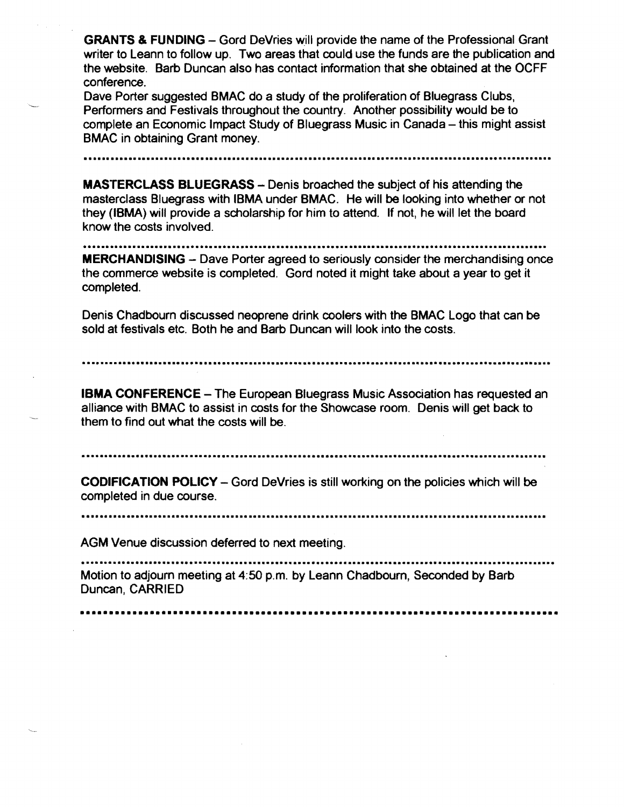**GRANTS & FUNDING** – Gord DeVries will provide the name of the Professional Grant writer to Leann to follow up. Two areas that could use the funds are the publication and the website. Barb Duncan also has contact information that she obtained at the OCFF conference.

Dave Porter suggested BMAC do a study of the proliferation of Bluegrass Clubs, Performers and Festivals throughout the country. Another possibility would be to complete an Economic Impact Study of Bluegrass Music in Canada - this might assist BMAC in obtaining Grant money.

**...........................................................................................•............** 

**MASTERCLASS BLUEGRASS** - Denis broached the subject of his attending the masterclass Bluegrass with IBMA under SMAC. He will be looking into whether or not they (ISMA) will provide a scholarship for him to attend. If not, he will let the board know the costs involved .

**.....................•...................•.............................................................** 

**MERCHANDISING** – Dave Porter agreed to seriously consider the merchandising once the commerce website is completed. Gord noted it might take about a year to get it completed.

Denis Chadbourn discussed neoprene drink coolers with the BMAC Logo that can be sold at festivals etc. Both he and Barb Duncan will look into the costs.

**.....................................................................................................•..** 

**IBMA CONFERENCE -** The European Bluegrass Music Association has requested an alliance with BMAC to assist in costs for the Showcase room. Denis will get back to them to find out what the costs will be.

**.........••.••••••••••......•.••.........•..•••.••••••••••......••...••..••••.•.••.•...........••••.•••** 

**CODIFICATION POLICY** - Gord DeVries is still working on the policies which will be completed in due course .

**••••••••.....••..•..•••••.•.....•...........•••••••••................•••••••••••.........••..•.....••••** 

AGM Venue discussion deferred to next meeting.

**•.•.....•••.•••••••••••••.....•.......•••.••••••...•...........•••..•••......••......••.••..•.•.•........** Motion to adjourn meeting at 4:50 p.m. by Leann Chadbourn, Seconded by Barb Duncan, CARRIED

**••••••••••••••••••••••••••••••••••••••••••••••••••••••••••••••••••••••••••••••••••**